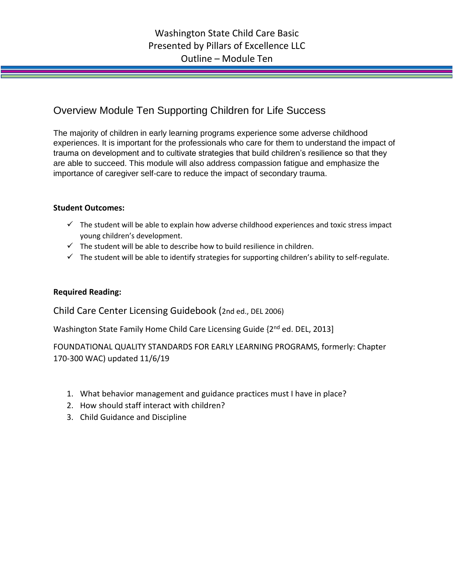## Overview Module Ten Supporting Children for Life Success

The majority of children in early learning programs experience some adverse childhood experiences. It is important for the professionals who care for them to understand the impact of trauma on development and to cultivate strategies that build children's resilience so that they are able to succeed. This module will also address compassion fatigue and emphasize the importance of caregiver self-care to reduce the impact of secondary trauma.

## **Student Outcomes:**

- $\checkmark$  The student will be able to explain how adverse childhood experiences and toxic stress impact young children's development.
- $\checkmark$  The student will be able to describe how to build resilience in children.
- $\checkmark$  The student will be able to identify strategies for supporting children's ability to self-regulate.

## **Required Reading:**

Child Care Center Licensing Guidebook (2nd ed., DEL 2006)

Washington State Family Home Child Care Licensing Guide {2nd ed. DEL, 2013]

FOUNDATIONAL QUALITY STANDARDS FOR EARLY LEARNING PROGRAMS, formerly: Chapter 170-300 WAC) updated 11/6/19

- 1. What behavior management and guidance practices must I have in place?
- 2. How should staff interact with children?
- 3. Child Guidance and Discipline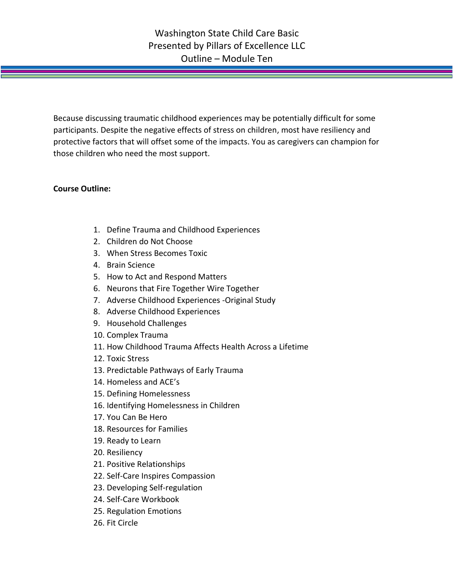Because discussing traumatic childhood experiences may be potentially difficult for some participants. Despite the negative effects of stress on children, most have resiliency and protective factors that will offset some of the impacts. You as caregivers can champion for those children who need the most support.

## **Course Outline:**

- 1. Define Trauma and Childhood Experiences
- 2. Children do Not Choose
- 3. When Stress Becomes Toxic
- 4. Brain Science
- 5. How to Act and Respond Matters
- 6. Neurons that Fire Together Wire Together
- 7. Adverse Childhood Experiences -Original Study
- 8. Adverse Childhood Experiences
- 9. Household Challenges
- 10. Complex Trauma
- 11. How Childhood Trauma Affects Health Across a Lifetime
- 12. Toxic Stress
- 13. Predictable Pathways of Early Trauma
- 14. Homeless and ACE's
- 15. Defining Homelessness
- 16. Identifying Homelessness in Children
- 17. You Can Be Hero
- 18. Resources for Families
- 19. Ready to Learn
- 20. Resiliency
- 21. Positive Relationships
- 22. Self-Care Inspires Compassion
- 23. Developing Self-regulation
- 24. Self-Care Workbook
- 25. Regulation Emotions
- 26. Fit Circle